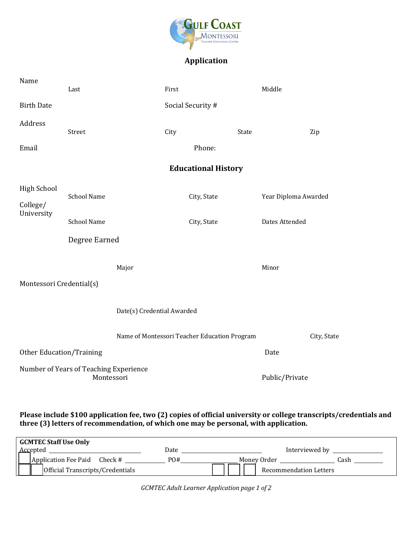

## **Application**

| Name                                         | Last                                                 |                            | First                                        |       | Middle               |  |
|----------------------------------------------|------------------------------------------------------|----------------------------|----------------------------------------------|-------|----------------------|--|
| <b>Birth Date</b>                            |                                                      |                            | Social Security #                            |       |                      |  |
| Address                                      | Street                                               |                            | City                                         | State | Zip                  |  |
| Email                                        |                                                      |                            | Phone:                                       |       |                      |  |
| <b>Educational History</b>                   |                                                      |                            |                                              |       |                      |  |
| <b>High School</b><br>College/<br>University | <b>School Name</b>                                   |                            | City, State                                  |       | Year Diploma Awarded |  |
|                                              | <b>School Name</b>                                   |                            | City, State                                  |       | Dates Attended       |  |
|                                              | Degree Earned                                        |                            |                                              |       |                      |  |
| Montessori Credential(s)                     |                                                      | Major                      |                                              |       | Minor                |  |
|                                              |                                                      | Date(s) Credential Awarded |                                              |       |                      |  |
|                                              |                                                      |                            | Name of Montessori Teacher Education Program |       | City, State          |  |
| <b>Other Education/Training</b>              |                                                      |                            |                                              |       | Date                 |  |
|                                              | Number of Years of Teaching Experience<br>Montessori |                            |                                              |       | Public/Private       |  |

## Please include \$100 application fee, two (2) copies of official university or college transcripts/credentials and **three (3) letters of recommendation, of which one may be personal, with application.**

| <b>GCMTEC Staff Use Only</b>     |      |                        |
|----------------------------------|------|------------------------|
| Accepted                         | Date | Interviewed by         |
| Application Fee Paid<br>Check #  | PO#  | Money Order<br>iash    |
| Official Transcripts/Credentials |      | Recommendation Letters |

*GCMTEC Adult Learner Application page 1 of 2*